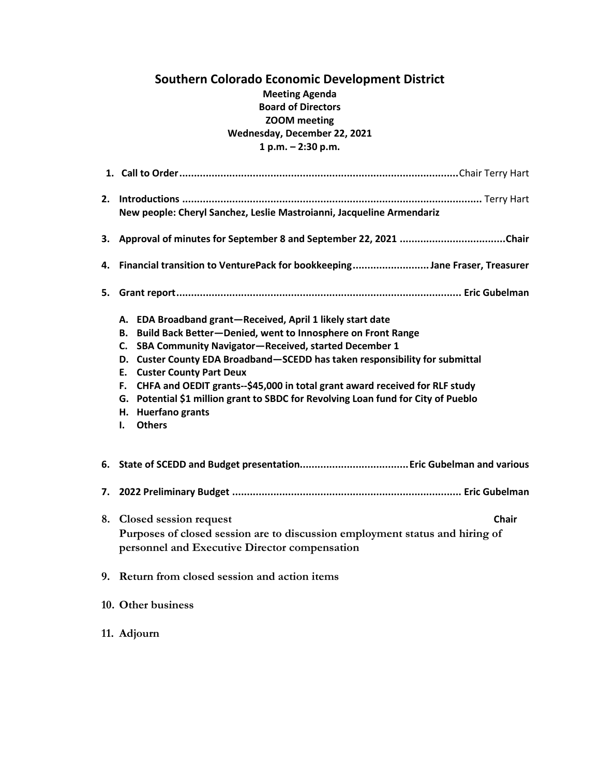# **Southern Colorado Economic Development District Meeting Agenda Board of Directors ZOOM meeting Wednesday, December 22, 2021 1 p.m. – 2:30 p.m.**

|    | New people: Cheryl Sanchez, Leslie Mastroianni, Jacqueline Armendariz                                                                                                                                                                                                                                                                                                                                                                                                                                                                              |
|----|----------------------------------------------------------------------------------------------------------------------------------------------------------------------------------------------------------------------------------------------------------------------------------------------------------------------------------------------------------------------------------------------------------------------------------------------------------------------------------------------------------------------------------------------------|
|    | 3. Approval of minutes for September 8 and September 22, 2021 Chair                                                                                                                                                                                                                                                                                                                                                                                                                                                                                |
| 4. | Financial transition to VenturePack for bookkeepingJane Fraser, Treasurer                                                                                                                                                                                                                                                                                                                                                                                                                                                                          |
|    |                                                                                                                                                                                                                                                                                                                                                                                                                                                                                                                                                    |
|    | A. EDA Broadband grant-Received, April 1 likely start date<br>Build Back Better-Denied, went to Innosphere on Front Range<br>В.<br>C. SBA Community Navigator-Received, started December 1<br>D. Custer County EDA Broadband-SCEDD has taken responsibility for submittal<br><b>E.</b> Custer County Part Deux<br>CHFA and OEDIT grants--\$45,000 in total grant award received for RLF study<br>F.<br>Potential \$1 million grant to SBDC for Revolving Loan fund for City of Pueblo<br>G.<br>H. Huerfano grants<br><b>Others</b><br>$\mathbf{L}$ |
|    |                                                                                                                                                                                                                                                                                                                                                                                                                                                                                                                                                    |
|    |                                                                                                                                                                                                                                                                                                                                                                                                                                                                                                                                                    |
|    | 8. Closed session request<br><b>Chair</b><br>Purposes of closed session are to discussion employment status and hiring of<br>personnel and Executive Director compensation                                                                                                                                                                                                                                                                                                                                                                         |
|    | 9. Return from closed session and action items                                                                                                                                                                                                                                                                                                                                                                                                                                                                                                     |
|    | 10. Other business                                                                                                                                                                                                                                                                                                                                                                                                                                                                                                                                 |

**11. Adjourn**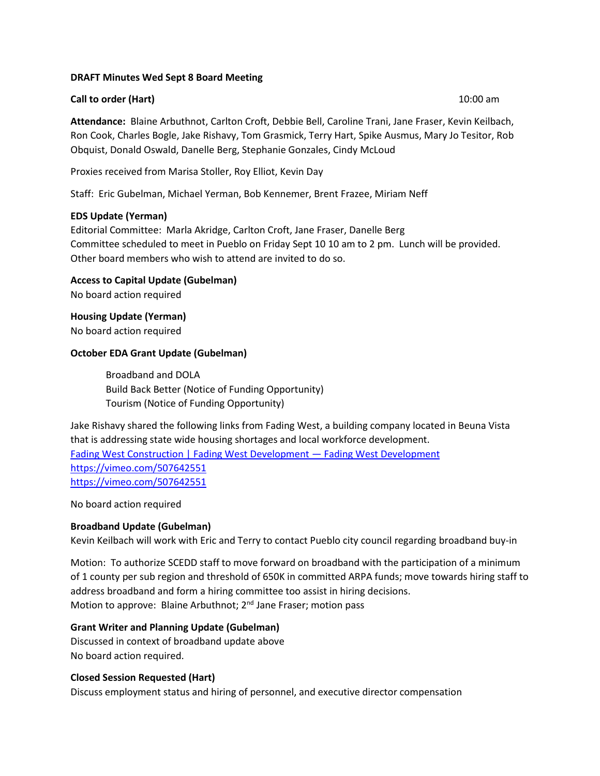### **DRAFT Minutes Wed Sept 8 Board Meeting**

### **Call to order (Hart)** 10:00 am **10:00 am**

**Attendance:** Blaine Arbuthnot, Carlton Croft, Debbie Bell, Caroline Trani, Jane Fraser, Kevin Keilbach, Ron Cook, Charles Bogle, Jake Rishavy, Tom Grasmick, Terry Hart, Spike Ausmus, Mary Jo Tesitor, Rob Obquist, Donald Oswald, Danelle Berg, Stephanie Gonzales, Cindy McLoud

Proxies received from Marisa Stoller, Roy Elliot, Kevin Day

Staff: Eric Gubelman, Michael Yerman, Bob Kennemer, Brent Frazee, Miriam Neff

# **EDS Update (Yerman)**

Editorial Committee: Marla Akridge, Carlton Croft, Jane Fraser, Danelle Berg Committee scheduled to meet in Pueblo on Friday Sept 10 10 am to 2 pm. Lunch will be provided. Other board members who wish to attend are invited to do so.

**Access to Capital Update (Gubelman)** No board action required

**Housing Update (Yerman)** No board action required

# **October EDA Grant Update (Gubelman)**

Broadband and DOLA Build Back Better (Notice of Funding Opportunity) Tourism (Notice of Funding Opportunity)

Jake Rishavy shared the following links from Fading West, a building company located in Beuna Vista that is addressing state wide housing shortages and local workforce development. [Fading West Construction | Fading West Development](https://www.fadingwestdevelopment.com/construction) — Fading West Development <https://vimeo.com/507642551> <https://vimeo.com/507642551>

No board action required

# **Broadband Update (Gubelman)**

Kevin Keilbach will work with Eric and Terry to contact Pueblo city council regarding broadband buy-in

Motion: To authorize SCEDD staff to move forward on broadband with the participation of a minimum of 1 county per sub region and threshold of 650K in committed ARPA funds; move towards hiring staff to address broadband and form a hiring committee too assist in hiring decisions. Motion to approve: Blaine Arbuthnot;  $2^{nd}$  Jane Fraser; motion pass

# **Grant Writer and Planning Update (Gubelman)**

Discussed in context of broadband update above No board action required.

# **Closed Session Requested (Hart)**

Discuss employment status and hiring of personnel, and executive director compensation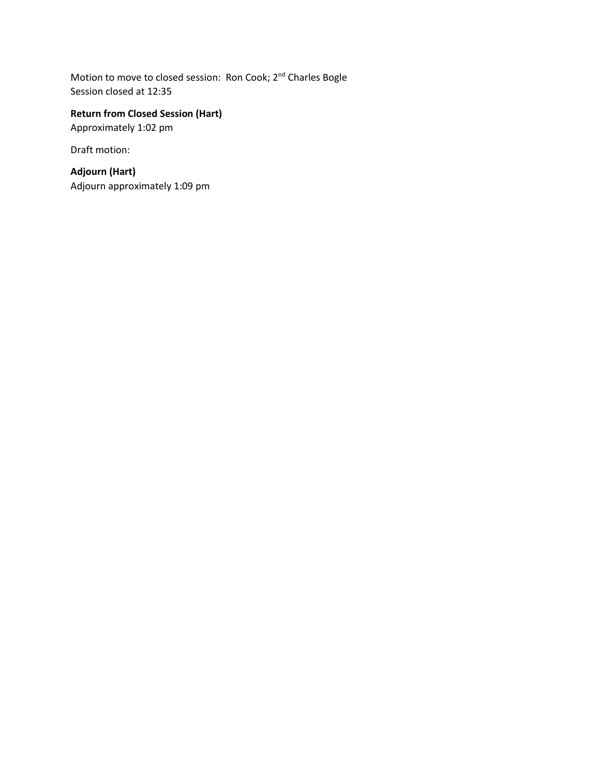Motion to move to closed session: Ron Cook; 2<sup>nd</sup> Charles Bogle Session closed at 12:35

# **Return from Closed Session (Hart)**

Approximately 1:02 pm

Draft motion:

**Adjourn (Hart)** Adjourn approximately 1:09 pm